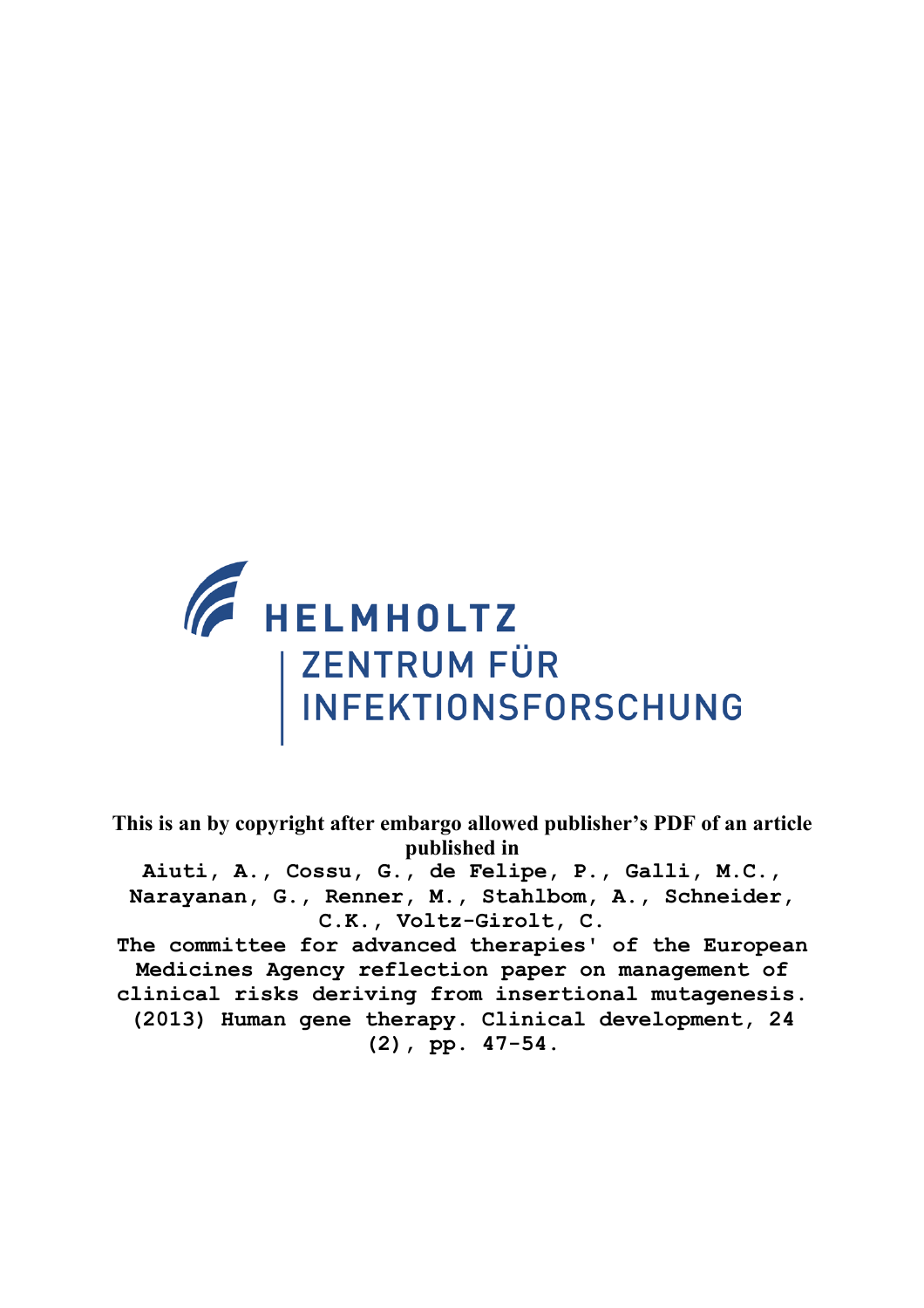

**This is an by copyright after embargo allowed publisher's PDF of an article published in Aiuti, A., Cossu, G., de Felipe, P., Galli, M.C., Narayanan, G., Renner, M., Stahlbom, A., Schneider, C.K., Voltz-Girolt, C. The committee for advanced therapies' of the European Medicines Agency reflection paper on management of clinical risks deriving from insertional mutagenesis. (2013) Human gene therapy. Clinical development, 24 (2), pp. 47-54.**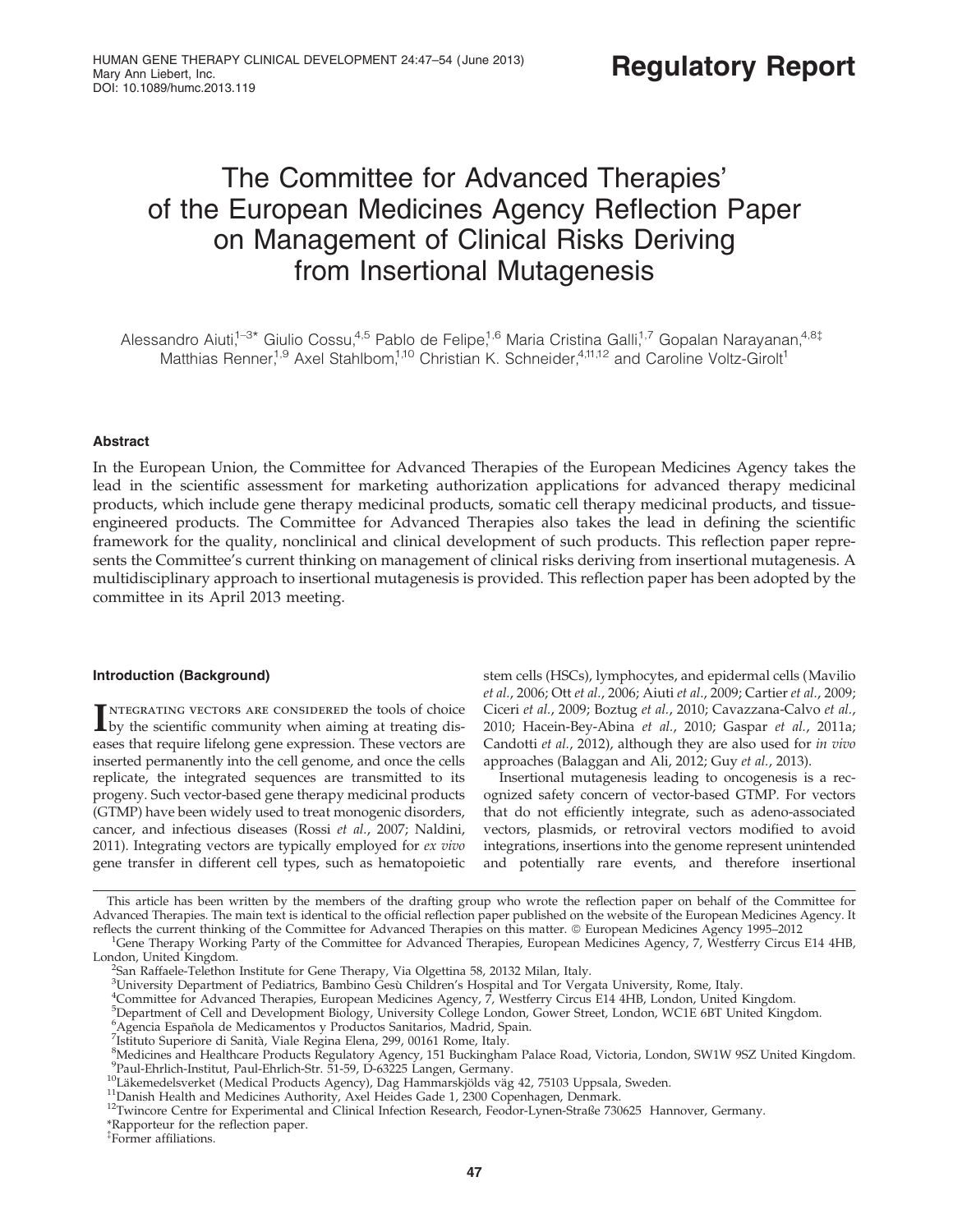# The Committee for Advanced Therapies' of the European Medicines Agency Reflection Paper on Management of Clinical Risks Deriving from Insertional Mutagenesis

Alessandro Aiuti,<sup>1–3\*</sup> Giulio Cossu,<sup>4,5</sup> Pablo de Felipe,<sup>1,6</sup> Maria Cristina Galli,<sup>1,7</sup> Gopalan Narayanan,<sup>4,8‡</sup> Matthias Renner,<sup>1,9</sup> Axel Stahlbom,<sup>1,10</sup> Christian K. Schneider,<sup>4,11,12</sup> and Caroline Voltz-Girolt<sup>1</sup>

## Abstract

In the European Union, the Committee for Advanced Therapies of the European Medicines Agency takes the lead in the scientific assessment for marketing authorization applications for advanced therapy medicinal products, which include gene therapy medicinal products, somatic cell therapy medicinal products, and tissueengineered products. The Committee for Advanced Therapies also takes the lead in defining the scientific framework for the quality, nonclinical and clinical development of such products. This reflection paper represents the Committee's current thinking on management of clinical risks deriving from insertional mutagenesis. A multidisciplinary approach to insertional mutagenesis is provided. This reflection paper has been adopted by the committee in its April 2013 meeting.

### Introduction (Background)

INTEGRATING VECTORS ARE CONSIDERED the tools of choice<br>by the scientific community when aiming at treating disntegrating vectors are considered the tools of choice eases that require lifelong gene expression. These vectors are inserted permanently into the cell genome, and once the cells replicate, the integrated sequences are transmitted to its progeny. Such vector-based gene therapy medicinal products (GTMP) have been widely used to treat monogenic disorders, cancer, and infectious diseases (Rossi et al., 2007; Naldini, 2011). Integrating vectors are typically employed for ex vivo gene transfer in different cell types, such as hematopoietic stem cells (HSCs), lymphocytes, and epidermal cells (Mavilio et al., 2006; Ott et al., 2006; Aiuti et al., 2009; Cartier et al., 2009; Ciceri et al., 2009; Boztug et al., 2010; Cavazzana-Calvo et al., 2010; Hacein-Bey-Abina et al., 2010; Gaspar et al., 2011a; Candotti et al., 2012), although they are also used for in vivo approaches (Balaggan and Ali, 2012; Guy et al., 2013).

Insertional mutagenesis leading to oncogenesis is a recognized safety concern of vector-based GTMP. For vectors that do not efficiently integrate, such as adeno-associated vectors, plasmids, or retroviral vectors modified to avoid integrations, insertions into the genome represent unintended and potentially rare events, and therefore insertional

This article has been written by the members of the drafting group who wrote the reflection paper on behalf of the Committee for Advanced Therapies. The main text is identical to the official reflection paper published on the website of the European Medicines Agency. It reflects the current thinking of the Committee for Advanced Therapies on this matter. © European Medicines Agency 1995-2012

<sup>1</sup>Gene Therapy Working Party of the Committee for Advanced Therapies, European Medicines Agency, 7, Westferry Circus E14 4HB, London, United Kingdom.

- <sup>3</sup>University Department of Pediatrics, Bambino Gesù Children's Hospital and Tor Vergata University, Rome, Italy.<br><sup>4</sup>Committee for Advanced Theranies, European Medicines, Agency, 7, Westferry Circus, E14, 4HB, London, Unit
- <sup>4</sup>Committee for Advanced Therapies, European Medicines Agency, 7, Westferry Circus E14 4HB, London, United Kingdom.
- 5 Department of Cell and Development Biology, University College London, Gower Street, London, WC1E 6BT United Kingdom.
- <sup>6</sup> Agencia Española de Medicamentos y Productos Sanitarios, Madrid, Spain.<br><sup>7</sup>Istituto Superiore di Sanità Viale Bogina Elona, 200,00161 Rome Italy.
- Istituto Superiore di Sanità, Viale Regina Elena, 299, 00161 Rome, Italy.<br><sup>8</sup>Modicines and Healthcare Products Regulatory Agency, 151 Buckingha
- <sup>8</sup>Medicines and Healthcare Products Regulatory Agency, 151 Buckingham Palace Road, Victoria, London, SW1W 9SZ United Kingdom. Paul-Ehrlich-Institut, Paul-Ehrlich-Str. 51-59, D-63225 Langen, Germany.
- 
- 

{ Former affiliations.

<sup>&</sup>lt;sup>2</sup>San Raffaele-Telethon Institute for Gene Therapy, Via Olgettina 58, 20132 Milan, Italy.

<sup>&</sup>lt;sup>10</sup>Läkemedelsverket (Medical Products Agency), Dag Hammarskjölds väg 42, 75103 Uppsala, Sweden.<br><sup>11</sup>Danish Health and Medicines Authority, Axel Heides Gade 1, 2300 Copenhagen, Denmark.<br><sup>12</sup>Twincore Centre for Experimental \*Rapporteur for the reflection paper.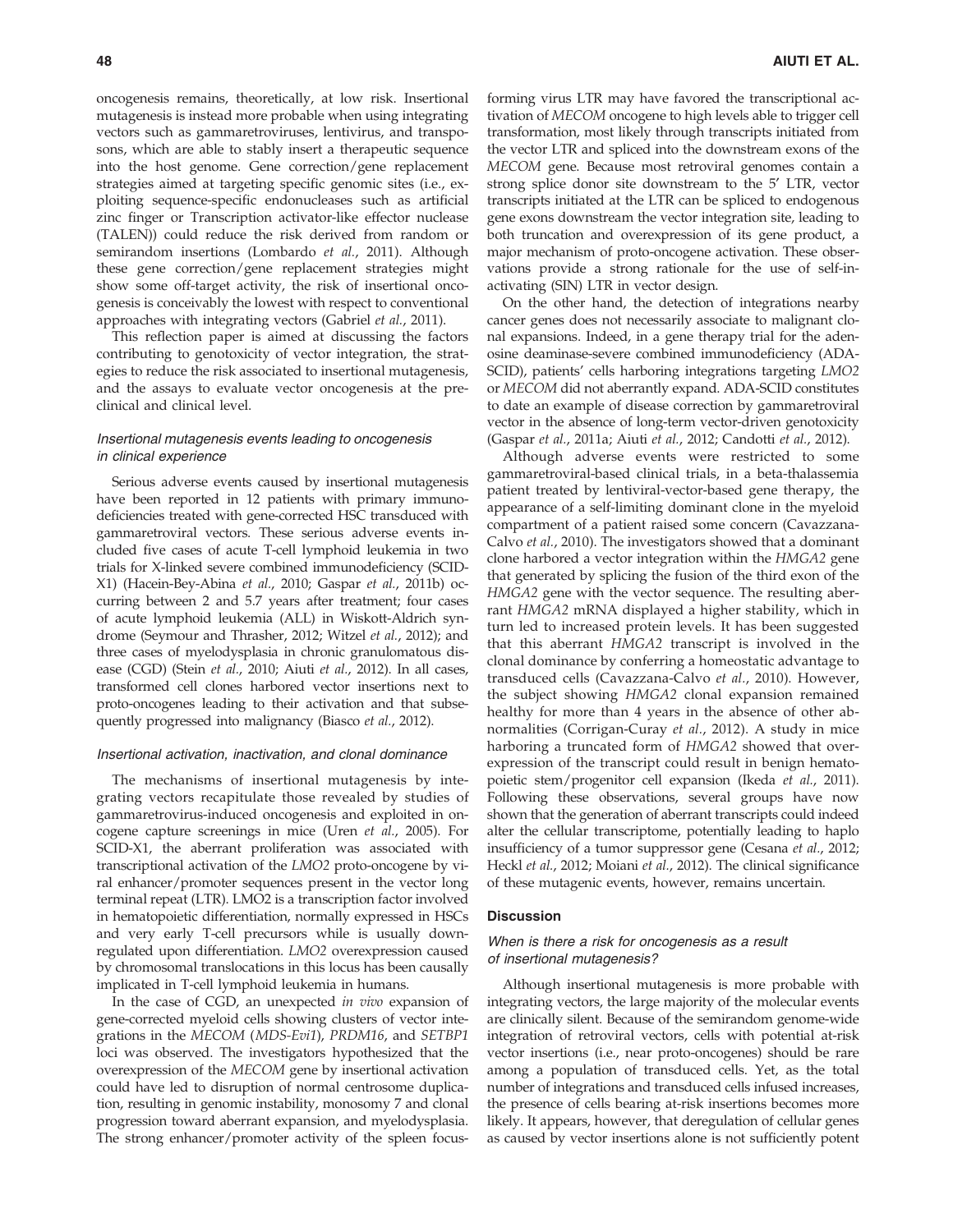oncogenesis remains, theoretically, at low risk. Insertional mutagenesis is instead more probable when using integrating vectors such as gammaretroviruses, lentivirus, and transposons, which are able to stably insert a therapeutic sequence into the host genome. Gene correction/gene replacement strategies aimed at targeting specific genomic sites (i.e., exploiting sequence-specific endonucleases such as artificial zinc finger or Transcription activator-like effector nuclease (TALEN)) could reduce the risk derived from random or semirandom insertions (Lombardo et al., 2011). Although these gene correction/gene replacement strategies might show some off-target activity, the risk of insertional oncogenesis is conceivably the lowest with respect to conventional approaches with integrating vectors (Gabriel et al., 2011).

This reflection paper is aimed at discussing the factors contributing to genotoxicity of vector integration, the strategies to reduce the risk associated to insertional mutagenesis, and the assays to evaluate vector oncogenesis at the preclinical and clinical level.

## Insertional mutagenesis events leading to oncogenesis in clinical experience

Serious adverse events caused by insertional mutagenesis have been reported in 12 patients with primary immunodeficiencies treated with gene-corrected HSC transduced with gammaretroviral vectors. These serious adverse events included five cases of acute T-cell lymphoid leukemia in two trials for X-linked severe combined immunodeficiency (SCID-X1) (Hacein-Bey-Abina et al., 2010; Gaspar et al., 2011b) occurring between 2 and 5.7 years after treatment; four cases of acute lymphoid leukemia (ALL) in Wiskott-Aldrich syndrome (Seymour and Thrasher, 2012; Witzel et al., 2012); and three cases of myelodysplasia in chronic granulomatous disease (CGD) (Stein et al., 2010; Aiuti et al., 2012). In all cases, transformed cell clones harbored vector insertions next to proto-oncogenes leading to their activation and that subsequently progressed into malignancy (Biasco et al., 2012).

#### Insertional activation, inactivation, and clonal dominance

The mechanisms of insertional mutagenesis by integrating vectors recapitulate those revealed by studies of gammaretrovirus-induced oncogenesis and exploited in oncogene capture screenings in mice (Uren et al., 2005). For SCID-X1, the aberrant proliferation was associated with transcriptional activation of the LMO2 proto-oncogene by viral enhancer/promoter sequences present in the vector long terminal repeat (LTR). LMO2 is a transcription factor involved in hematopoietic differentiation, normally expressed in HSCs and very early T-cell precursors while is usually downregulated upon differentiation. LMO2 overexpression caused by chromosomal translocations in this locus has been causally implicated in T-cell lymphoid leukemia in humans.

In the case of CGD, an unexpected in vivo expansion of gene-corrected myeloid cells showing clusters of vector integrations in the MECOM (MDS-Evi1), PRDM16, and SETBP1 loci was observed. The investigators hypothesized that the overexpression of the MECOM gene by insertional activation could have led to disruption of normal centrosome duplication, resulting in genomic instability, monosomy 7 and clonal progression toward aberrant expansion, and myelodysplasia. The strong enhancer/promoter activity of the spleen focusforming virus LTR may have favored the transcriptional activation of MECOM oncogene to high levels able to trigger cell transformation, most likely through transcripts initiated from the vector LTR and spliced into the downstream exons of the MECOM gene. Because most retroviral genomes contain a strong splice donor site downstream to the 5<sup>'</sup> LTR, vector transcripts initiated at the LTR can be spliced to endogenous gene exons downstream the vector integration site, leading to both truncation and overexpression of its gene product, a major mechanism of proto-oncogene activation. These observations provide a strong rationale for the use of self-inactivating (SIN) LTR in vector design.

On the other hand, the detection of integrations nearby cancer genes does not necessarily associate to malignant clonal expansions. Indeed, in a gene therapy trial for the adenosine deaminase-severe combined immunodeficiency (ADA-SCID), patients' cells harboring integrations targeting LMO2 or MECOM did not aberrantly expand. ADA-SCID constitutes to date an example of disease correction by gammaretroviral vector in the absence of long-term vector-driven genotoxicity (Gaspar et al., 2011a; Aiuti et al., 2012; Candotti et al., 2012).

Although adverse events were restricted to some gammaretroviral-based clinical trials, in a beta-thalassemia patient treated by lentiviral-vector-based gene therapy, the appearance of a self-limiting dominant clone in the myeloid compartment of a patient raised some concern (Cavazzana-Calvo et al., 2010). The investigators showed that a dominant clone harbored a vector integration within the HMGA2 gene that generated by splicing the fusion of the third exon of the HMGA2 gene with the vector sequence. The resulting aberrant HMGA2 mRNA displayed a higher stability, which in turn led to increased protein levels. It has been suggested that this aberrant HMGA2 transcript is involved in the clonal dominance by conferring a homeostatic advantage to transduced cells (Cavazzana-Calvo et al., 2010). However, the subject showing HMGA2 clonal expansion remained healthy for more than 4 years in the absence of other abnormalities (Corrigan-Curay et al., 2012). A study in mice harboring a truncated form of HMGA2 showed that overexpression of the transcript could result in benign hematopoietic stem/progenitor cell expansion (Ikeda et al., 2011). Following these observations, several groups have now shown that the generation of aberrant transcripts could indeed alter the cellular transcriptome, potentially leading to haplo insufficiency of a tumor suppressor gene (Cesana et al., 2012; Heckl et al., 2012; Moiani et al., 2012). The clinical significance of these mutagenic events, however, remains uncertain.

#### **Discussion**

#### When is there a risk for oncogenesis as a result of insertional mutagenesis?

Although insertional mutagenesis is more probable with integrating vectors, the large majority of the molecular events are clinically silent. Because of the semirandom genome-wide integration of retroviral vectors, cells with potential at-risk vector insertions (i.e., near proto-oncogenes) should be rare among a population of transduced cells. Yet, as the total number of integrations and transduced cells infused increases, the presence of cells bearing at-risk insertions becomes more likely. It appears, however, that deregulation of cellular genes as caused by vector insertions alone is not sufficiently potent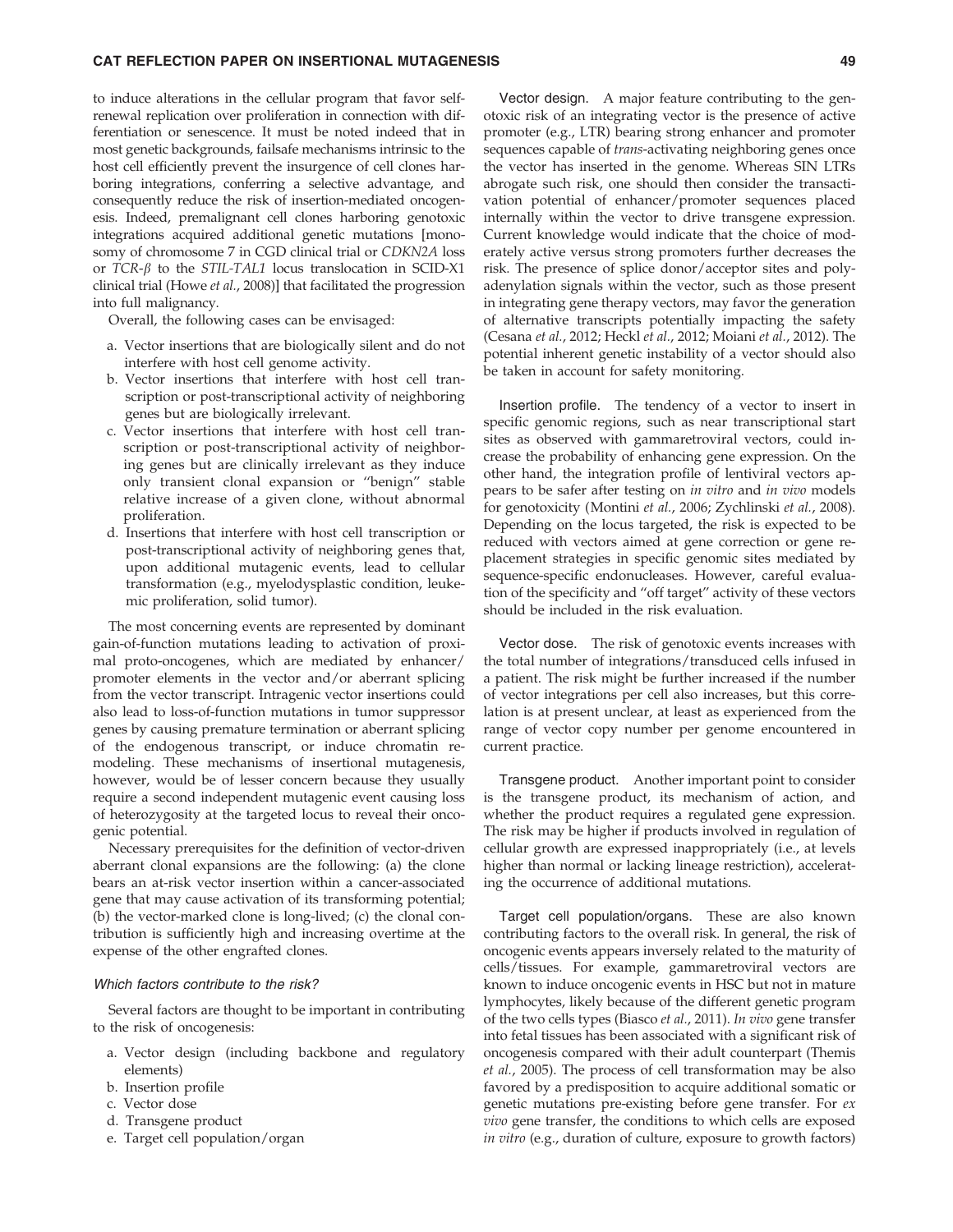to induce alterations in the cellular program that favor selfrenewal replication over proliferation in connection with differentiation or senescence. It must be noted indeed that in most genetic backgrounds, failsafe mechanisms intrinsic to the host cell efficiently prevent the insurgence of cell clones harboring integrations, conferring a selective advantage, and consequently reduce the risk of insertion-mediated oncogenesis. Indeed, premalignant cell clones harboring genotoxic integrations acquired additional genetic mutations [monosomy of chromosome 7 in CGD clinical trial or CDKN2A loss or  $TCR-\beta$  to the STIL-TAL1 locus translocation in SCID-X1 clinical trial (Howe et al., 2008)] that facilitated the progression into full malignancy.

Overall, the following cases can be envisaged:

- a. Vector insertions that are biologically silent and do not interfere with host cell genome activity.
- b. Vector insertions that interfere with host cell transcription or post-transcriptional activity of neighboring genes but are biologically irrelevant.
- c. Vector insertions that interfere with host cell transcription or post-transcriptional activity of neighboring genes but are clinically irrelevant as they induce only transient clonal expansion or ''benign'' stable relative increase of a given clone, without abnormal proliferation.
- d. Insertions that interfere with host cell transcription or post-transcriptional activity of neighboring genes that, upon additional mutagenic events, lead to cellular transformation (e.g., myelodysplastic condition, leukemic proliferation, solid tumor).

The most concerning events are represented by dominant gain-of-function mutations leading to activation of proximal proto-oncogenes, which are mediated by enhancer/ promoter elements in the vector and/or aberrant splicing from the vector transcript. Intragenic vector insertions could also lead to loss-of-function mutations in tumor suppressor genes by causing premature termination or aberrant splicing of the endogenous transcript, or induce chromatin remodeling. These mechanisms of insertional mutagenesis, however, would be of lesser concern because they usually require a second independent mutagenic event causing loss of heterozygosity at the targeted locus to reveal their oncogenic potential.

Necessary prerequisites for the definition of vector-driven aberrant clonal expansions are the following: (a) the clone bears an at-risk vector insertion within a cancer-associated gene that may cause activation of its transforming potential; (b) the vector-marked clone is long-lived; (c) the clonal contribution is sufficiently high and increasing overtime at the expense of the other engrafted clones.

#### Which factors contribute to the risk?

Several factors are thought to be important in contributing to the risk of oncogenesis:

- a. Vector design (including backbone and regulatory elements)
- b. Insertion profile
- c. Vector dose
- d. Transgene product
- e. Target cell population/organ

Vector design. A major feature contributing to the genotoxic risk of an integrating vector is the presence of active promoter (e.g., LTR) bearing strong enhancer and promoter sequences capable of *trans*-activating neighboring genes once the vector has inserted in the genome. Whereas SIN LTRs abrogate such risk, one should then consider the transactivation potential of enhancer/promoter sequences placed internally within the vector to drive transgene expression. Current knowledge would indicate that the choice of moderately active versus strong promoters further decreases the risk. The presence of splice donor/acceptor sites and polyadenylation signals within the vector, such as those present in integrating gene therapy vectors, may favor the generation of alternative transcripts potentially impacting the safety (Cesana et al., 2012; Heckl et al., 2012; Moiani et al., 2012). The potential inherent genetic instability of a vector should also be taken in account for safety monitoring.

Insertion profile. The tendency of a vector to insert in specific genomic regions, such as near transcriptional start sites as observed with gammaretroviral vectors, could increase the probability of enhancing gene expression. On the other hand, the integration profile of lentiviral vectors appears to be safer after testing on in vitro and in vivo models for genotoxicity (Montini et al., 2006; Zychlinski et al., 2008). Depending on the locus targeted, the risk is expected to be reduced with vectors aimed at gene correction or gene replacement strategies in specific genomic sites mediated by sequence-specific endonucleases. However, careful evaluation of the specificity and ''off target'' activity of these vectors should be included in the risk evaluation.

Vector dose. The risk of genotoxic events increases with the total number of integrations/transduced cells infused in a patient. The risk might be further increased if the number of vector integrations per cell also increases, but this correlation is at present unclear, at least as experienced from the range of vector copy number per genome encountered in current practice.

Transgene product. Another important point to consider is the transgene product, its mechanism of action, and whether the product requires a regulated gene expression. The risk may be higher if products involved in regulation of cellular growth are expressed inappropriately (i.e., at levels higher than normal or lacking lineage restriction), accelerating the occurrence of additional mutations.

Target cell population/organs. These are also known contributing factors to the overall risk. In general, the risk of oncogenic events appears inversely related to the maturity of cells/tissues. For example, gammaretroviral vectors are known to induce oncogenic events in HSC but not in mature lymphocytes, likely because of the different genetic program of the two cells types (Biasco et al., 2011). In vivo gene transfer into fetal tissues has been associated with a significant risk of oncogenesis compared with their adult counterpart (Themis et al., 2005). The process of cell transformation may be also favored by a predisposition to acquire additional somatic or genetic mutations pre-existing before gene transfer. For ex vivo gene transfer, the conditions to which cells are exposed in vitro (e.g., duration of culture, exposure to growth factors)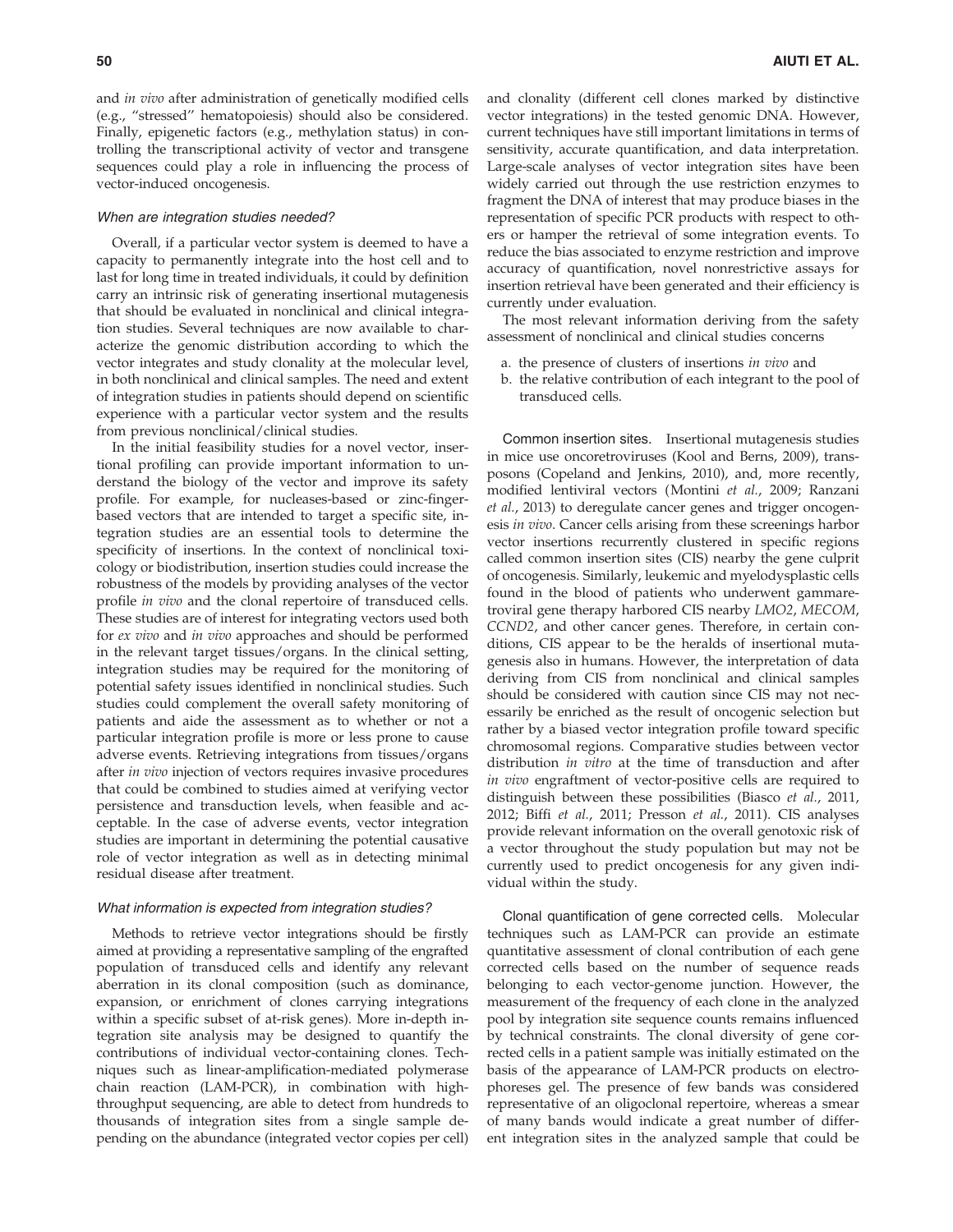and in vivo after administration of genetically modified cells (e.g., ''stressed'' hematopoiesis) should also be considered. Finally, epigenetic factors (e.g., methylation status) in controlling the transcriptional activity of vector and transgene sequences could play a role in influencing the process of vector-induced oncogenesis.

#### When are integration studies needed?

Overall, if a particular vector system is deemed to have a capacity to permanently integrate into the host cell and to last for long time in treated individuals, it could by definition carry an intrinsic risk of generating insertional mutagenesis that should be evaluated in nonclinical and clinical integration studies. Several techniques are now available to characterize the genomic distribution according to which the vector integrates and study clonality at the molecular level, in both nonclinical and clinical samples. The need and extent of integration studies in patients should depend on scientific experience with a particular vector system and the results from previous nonclinical/clinical studies.

In the initial feasibility studies for a novel vector, insertional profiling can provide important information to understand the biology of the vector and improve its safety profile. For example, for nucleases-based or zinc-fingerbased vectors that are intended to target a specific site, integration studies are an essential tools to determine the specificity of insertions. In the context of nonclinical toxicology or biodistribution, insertion studies could increase the robustness of the models by providing analyses of the vector profile in vivo and the clonal repertoire of transduced cells. These studies are of interest for integrating vectors used both for ex vivo and in vivo approaches and should be performed in the relevant target tissues/organs. In the clinical setting, integration studies may be required for the monitoring of potential safety issues identified in nonclinical studies. Such studies could complement the overall safety monitoring of patients and aide the assessment as to whether or not a particular integration profile is more or less prone to cause adverse events. Retrieving integrations from tissues/organs after in vivo injection of vectors requires invasive procedures that could be combined to studies aimed at verifying vector persistence and transduction levels, when feasible and acceptable. In the case of adverse events, vector integration studies are important in determining the potential causative role of vector integration as well as in detecting minimal residual disease after treatment.

## What information is expected from integration studies?

Methods to retrieve vector integrations should be firstly aimed at providing a representative sampling of the engrafted population of transduced cells and identify any relevant aberration in its clonal composition (such as dominance, expansion, or enrichment of clones carrying integrations within a specific subset of at-risk genes). More in-depth integration site analysis may be designed to quantify the contributions of individual vector-containing clones. Techniques such as linear-amplification-mediated polymerase chain reaction (LAM-PCR), in combination with highthroughput sequencing, are able to detect from hundreds to thousands of integration sites from a single sample depending on the abundance (integrated vector copies per cell) and clonality (different cell clones marked by distinctive vector integrations) in the tested genomic DNA. However, current techniques have still important limitations in terms of sensitivity, accurate quantification, and data interpretation. Large-scale analyses of vector integration sites have been widely carried out through the use restriction enzymes to fragment the DNA of interest that may produce biases in the representation of specific PCR products with respect to others or hamper the retrieval of some integration events. To reduce the bias associated to enzyme restriction and improve accuracy of quantification, novel nonrestrictive assays for insertion retrieval have been generated and their efficiency is currently under evaluation.

The most relevant information deriving from the safety assessment of nonclinical and clinical studies concerns

- a. the presence of clusters of insertions *in vivo* and
- b. the relative contribution of each integrant to the pool of transduced cells.

Common insertion sites. Insertional mutagenesis studies in mice use oncoretroviruses (Kool and Berns, 2009), transposons (Copeland and Jenkins, 2010), and, more recently, modified lentiviral vectors (Montini et al., 2009; Ranzani et al., 2013) to deregulate cancer genes and trigger oncogenesis in vivo. Cancer cells arising from these screenings harbor vector insertions recurrently clustered in specific regions called common insertion sites (CIS) nearby the gene culprit of oncogenesis. Similarly, leukemic and myelodysplastic cells found in the blood of patients who underwent gammaretroviral gene therapy harbored CIS nearby LMO2, MECOM, CCND2, and other cancer genes. Therefore, in certain conditions, CIS appear to be the heralds of insertional mutagenesis also in humans. However, the interpretation of data deriving from CIS from nonclinical and clinical samples should be considered with caution since CIS may not necessarily be enriched as the result of oncogenic selection but rather by a biased vector integration profile toward specific chromosomal regions. Comparative studies between vector distribution in vitro at the time of transduction and after in vivo engraftment of vector-positive cells are required to distinguish between these possibilities (Biasco et al., 2011, 2012; Biffi et al., 2011; Presson et al., 2011). CIS analyses provide relevant information on the overall genotoxic risk of a vector throughout the study population but may not be currently used to predict oncogenesis for any given individual within the study.

Clonal quantification of gene corrected cells. Molecular techniques such as LAM-PCR can provide an estimate quantitative assessment of clonal contribution of each gene corrected cells based on the number of sequence reads belonging to each vector-genome junction. However, the measurement of the frequency of each clone in the analyzed pool by integration site sequence counts remains influenced by technical constraints. The clonal diversity of gene corrected cells in a patient sample was initially estimated on the basis of the appearance of LAM-PCR products on electrophoreses gel. The presence of few bands was considered representative of an oligoclonal repertoire, whereas a smear of many bands would indicate a great number of different integration sites in the analyzed sample that could be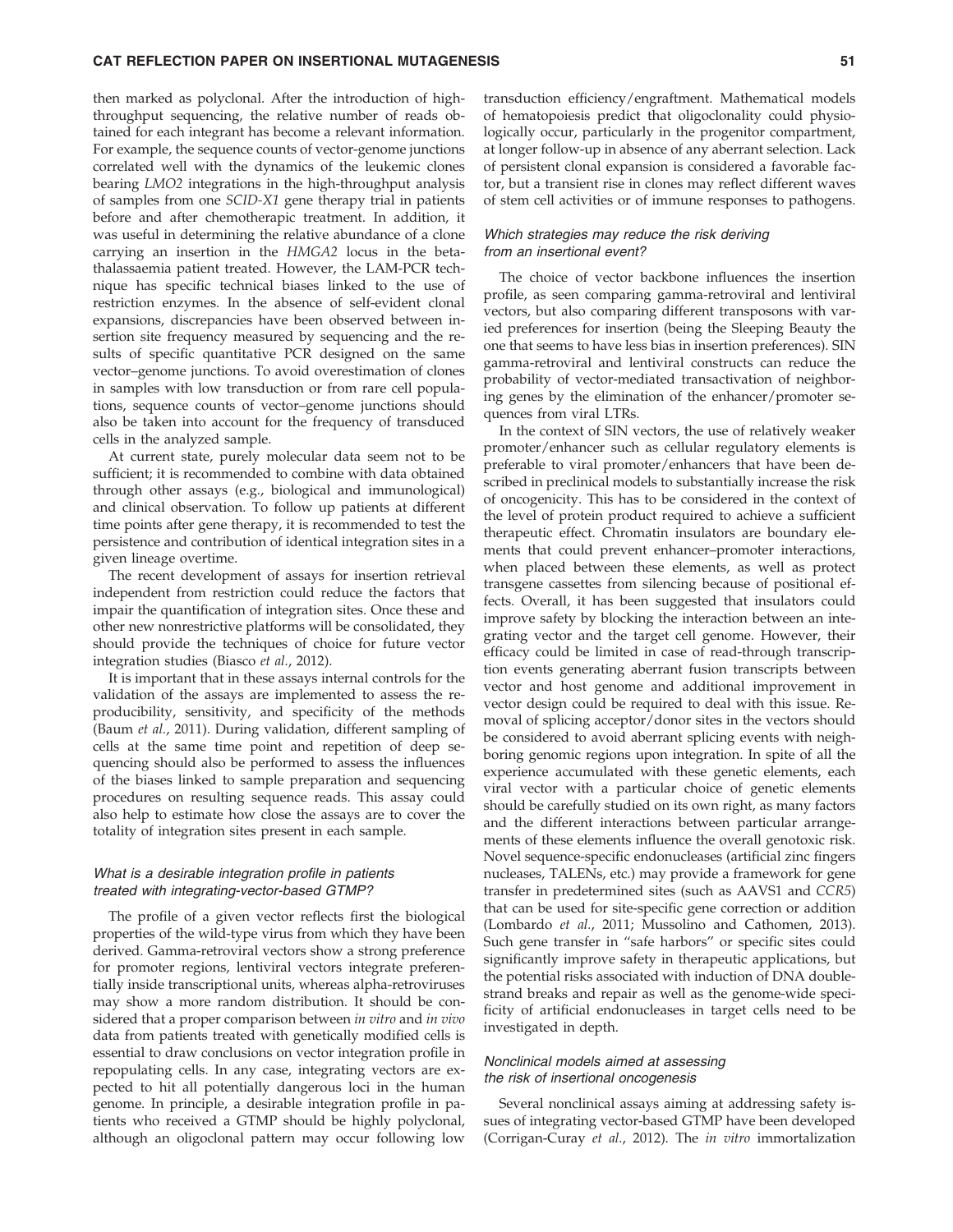## CAT REFLECTION PAPER ON INSERTIONAL MUTAGENESIS **S1** 51

then marked as polyclonal. After the introduction of highthroughput sequencing, the relative number of reads obtained for each integrant has become a relevant information. For example, the sequence counts of vector-genome junctions correlated well with the dynamics of the leukemic clones bearing LMO2 integrations in the high-throughput analysis of samples from one SCID-X1 gene therapy trial in patients before and after chemotherapic treatment. In addition, it was useful in determining the relative abundance of a clone carrying an insertion in the HMGA2 locus in the betathalassaemia patient treated. However, the LAM-PCR technique has specific technical biases linked to the use of restriction enzymes. In the absence of self-evident clonal expansions, discrepancies have been observed between insertion site frequency measured by sequencing and the results of specific quantitative PCR designed on the same vector–genome junctions. To avoid overestimation of clones in samples with low transduction or from rare cell populations, sequence counts of vector–genome junctions should also be taken into account for the frequency of transduced cells in the analyzed sample.

At current state, purely molecular data seem not to be sufficient; it is recommended to combine with data obtained through other assays (e.g., biological and immunological) and clinical observation. To follow up patients at different time points after gene therapy, it is recommended to test the persistence and contribution of identical integration sites in a given lineage overtime.

The recent development of assays for insertion retrieval independent from restriction could reduce the factors that impair the quantification of integration sites. Once these and other new nonrestrictive platforms will be consolidated, they should provide the techniques of choice for future vector integration studies (Biasco et al., 2012).

It is important that in these assays internal controls for the validation of the assays are implemented to assess the reproducibility, sensitivity, and specificity of the methods (Baum et al., 2011). During validation, different sampling of cells at the same time point and repetition of deep sequencing should also be performed to assess the influences of the biases linked to sample preparation and sequencing procedures on resulting sequence reads. This assay could also help to estimate how close the assays are to cover the totality of integration sites present in each sample.

## What is a desirable integration profile in patients treated with integrating-vector-based GTMP?

The profile of a given vector reflects first the biological properties of the wild-type virus from which they have been derived. Gamma-retroviral vectors show a strong preference for promoter regions, lentiviral vectors integrate preferentially inside transcriptional units, whereas alpha-retroviruses may show a more random distribution. It should be considered that a proper comparison between in vitro and in vivo data from patients treated with genetically modified cells is essential to draw conclusions on vector integration profile in repopulating cells. In any case, integrating vectors are expected to hit all potentially dangerous loci in the human genome. In principle, a desirable integration profile in patients who received a GTMP should be highly polyclonal, although an oligoclonal pattern may occur following low

transduction efficiency/engraftment. Mathematical models of hematopoiesis predict that oligoclonality could physiologically occur, particularly in the progenitor compartment, at longer follow-up in absence of any aberrant selection. Lack of persistent clonal expansion is considered a favorable factor, but a transient rise in clones may reflect different waves of stem cell activities or of immune responses to pathogens.

## Which strategies may reduce the risk deriving from an insertional event?

The choice of vector backbone influences the insertion profile, as seen comparing gamma-retroviral and lentiviral vectors, but also comparing different transposons with varied preferences for insertion (being the Sleeping Beauty the one that seems to have less bias in insertion preferences). SIN gamma-retroviral and lentiviral constructs can reduce the probability of vector-mediated transactivation of neighboring genes by the elimination of the enhancer/promoter sequences from viral LTRs.

In the context of SIN vectors, the use of relatively weaker promoter/enhancer such as cellular regulatory elements is preferable to viral promoter/enhancers that have been described in preclinical models to substantially increase the risk of oncogenicity. This has to be considered in the context of the level of protein product required to achieve a sufficient therapeutic effect. Chromatin insulators are boundary elements that could prevent enhancer–promoter interactions, when placed between these elements, as well as protect transgene cassettes from silencing because of positional effects. Overall, it has been suggested that insulators could improve safety by blocking the interaction between an integrating vector and the target cell genome. However, their efficacy could be limited in case of read-through transcription events generating aberrant fusion transcripts between vector and host genome and additional improvement in vector design could be required to deal with this issue. Removal of splicing acceptor/donor sites in the vectors should be considered to avoid aberrant splicing events with neighboring genomic regions upon integration. In spite of all the experience accumulated with these genetic elements, each viral vector with a particular choice of genetic elements should be carefully studied on its own right, as many factors and the different interactions between particular arrangements of these elements influence the overall genotoxic risk. Novel sequence-specific endonucleases (artificial zinc fingers nucleases, TALENs, etc.) may provide a framework for gene transfer in predetermined sites (such as AAVS1 and CCR5) that can be used for site-specific gene correction or addition (Lombardo et al., 2011; Mussolino and Cathomen, 2013). Such gene transfer in ''safe harbors'' or specific sites could significantly improve safety in therapeutic applications, but the potential risks associated with induction of DNA doublestrand breaks and repair as well as the genome-wide specificity of artificial endonucleases in target cells need to be investigated in depth.

## Nonclinical models aimed at assessing the risk of insertional oncogenesis

Several nonclinical assays aiming at addressing safety issues of integrating vector-based GTMP have been developed (Corrigan-Curay et al., 2012). The in vitro immortalization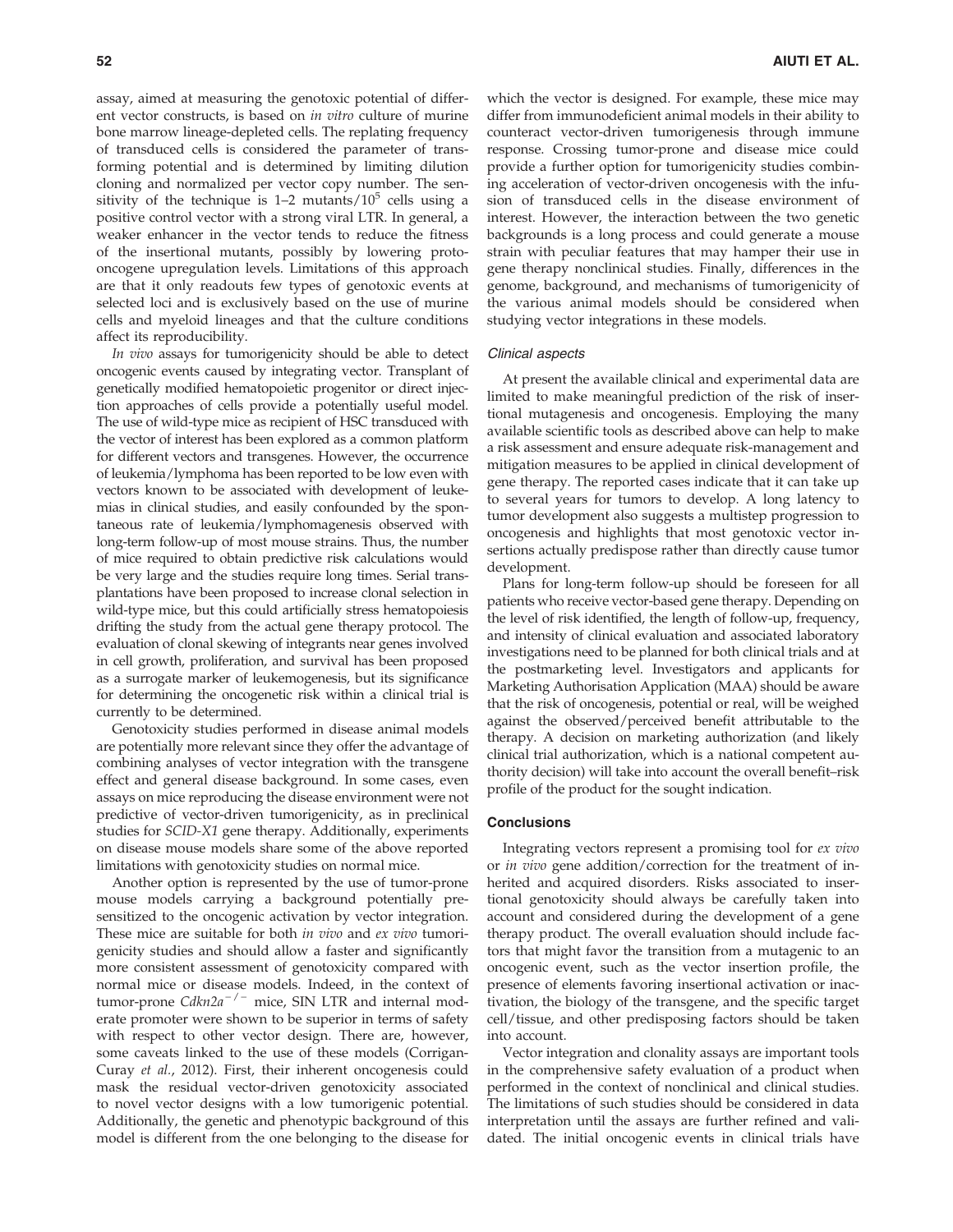assay, aimed at measuring the genotoxic potential of different vector constructs, is based on in vitro culture of murine bone marrow lineage-depleted cells. The replating frequency of transduced cells is considered the parameter of transforming potential and is determined by limiting dilution cloning and normalized per vector copy number. The sensitivity of the technique is  $1-2$  mutants/ $10<sup>5</sup>$  cells using a positive control vector with a strong viral LTR. In general, a weaker enhancer in the vector tends to reduce the fitness of the insertional mutants, possibly by lowering protooncogene upregulation levels. Limitations of this approach are that it only readouts few types of genotoxic events at selected loci and is exclusively based on the use of murine cells and myeloid lineages and that the culture conditions affect its reproducibility.

In vivo assays for tumorigenicity should be able to detect oncogenic events caused by integrating vector. Transplant of genetically modified hematopoietic progenitor or direct injection approaches of cells provide a potentially useful model. The use of wild-type mice as recipient of HSC transduced with the vector of interest has been explored as a common platform for different vectors and transgenes. However, the occurrence of leukemia/lymphoma has been reported to be low even with vectors known to be associated with development of leukemias in clinical studies, and easily confounded by the spontaneous rate of leukemia/lymphomagenesis observed with long-term follow-up of most mouse strains. Thus, the number of mice required to obtain predictive risk calculations would be very large and the studies require long times. Serial transplantations have been proposed to increase clonal selection in wild-type mice, but this could artificially stress hematopoiesis drifting the study from the actual gene therapy protocol. The evaluation of clonal skewing of integrants near genes involved in cell growth, proliferation, and survival has been proposed as a surrogate marker of leukemogenesis, but its significance for determining the oncogenetic risk within a clinical trial is currently to be determined.

Genotoxicity studies performed in disease animal models are potentially more relevant since they offer the advantage of combining analyses of vector integration with the transgene effect and general disease background. In some cases, even assays on mice reproducing the disease environment were not predictive of vector-driven tumorigenicity, as in preclinical studies for SCID-X1 gene therapy. Additionally, experiments on disease mouse models share some of the above reported limitations with genotoxicity studies on normal mice.

Another option is represented by the use of tumor-prone mouse models carrying a background potentially presensitized to the oncogenic activation by vector integration. These mice are suitable for both *in vivo* and *ex vivo* tumorigenicity studies and should allow a faster and significantly more consistent assessment of genotoxicity compared with normal mice or disease models. Indeed, in the context of tumor-prone  $Cdkn2a^{-/-}$  mice, SIN LTR and internal moderate promoter were shown to be superior in terms of safety with respect to other vector design. There are, however, some caveats linked to the use of these models (Corrigan-Curay et al., 2012). First, their inherent oncogenesis could mask the residual vector-driven genotoxicity associated to novel vector designs with a low tumorigenic potential. Additionally, the genetic and phenotypic background of this model is different from the one belonging to the disease for which the vector is designed. For example, these mice may differ from immunodeficient animal models in their ability to counteract vector-driven tumorigenesis through immune response. Crossing tumor-prone and disease mice could provide a further option for tumorigenicity studies combining acceleration of vector-driven oncogenesis with the infusion of transduced cells in the disease environment of interest. However, the interaction between the two genetic backgrounds is a long process and could generate a mouse strain with peculiar features that may hamper their use in gene therapy nonclinical studies. Finally, differences in the genome, background, and mechanisms of tumorigenicity of the various animal models should be considered when studying vector integrations in these models.

#### Clinical aspects

At present the available clinical and experimental data are limited to make meaningful prediction of the risk of insertional mutagenesis and oncogenesis. Employing the many available scientific tools as described above can help to make a risk assessment and ensure adequate risk-management and mitigation measures to be applied in clinical development of gene therapy. The reported cases indicate that it can take up to several years for tumors to develop. A long latency to tumor development also suggests a multistep progression to oncogenesis and highlights that most genotoxic vector insertions actually predispose rather than directly cause tumor development.

Plans for long-term follow-up should be foreseen for all patients who receive vector-based gene therapy. Depending on the level of risk identified, the length of follow-up, frequency, and intensity of clinical evaluation and associated laboratory investigations need to be planned for both clinical trials and at the postmarketing level. Investigators and applicants for Marketing Authorisation Application (MAA) should be aware that the risk of oncogenesis, potential or real, will be weighed against the observed/perceived benefit attributable to the therapy. A decision on marketing authorization (and likely clinical trial authorization, which is a national competent authority decision) will take into account the overall benefit–risk profile of the product for the sought indication.

## **Conclusions**

Integrating vectors represent a promising tool for ex vivo or in vivo gene addition/correction for the treatment of inherited and acquired disorders. Risks associated to insertional genotoxicity should always be carefully taken into account and considered during the development of a gene therapy product. The overall evaluation should include factors that might favor the transition from a mutagenic to an oncogenic event, such as the vector insertion profile, the presence of elements favoring insertional activation or inactivation, the biology of the transgene, and the specific target cell/tissue, and other predisposing factors should be taken into account.

Vector integration and clonality assays are important tools in the comprehensive safety evaluation of a product when performed in the context of nonclinical and clinical studies. The limitations of such studies should be considered in data interpretation until the assays are further refined and validated. The initial oncogenic events in clinical trials have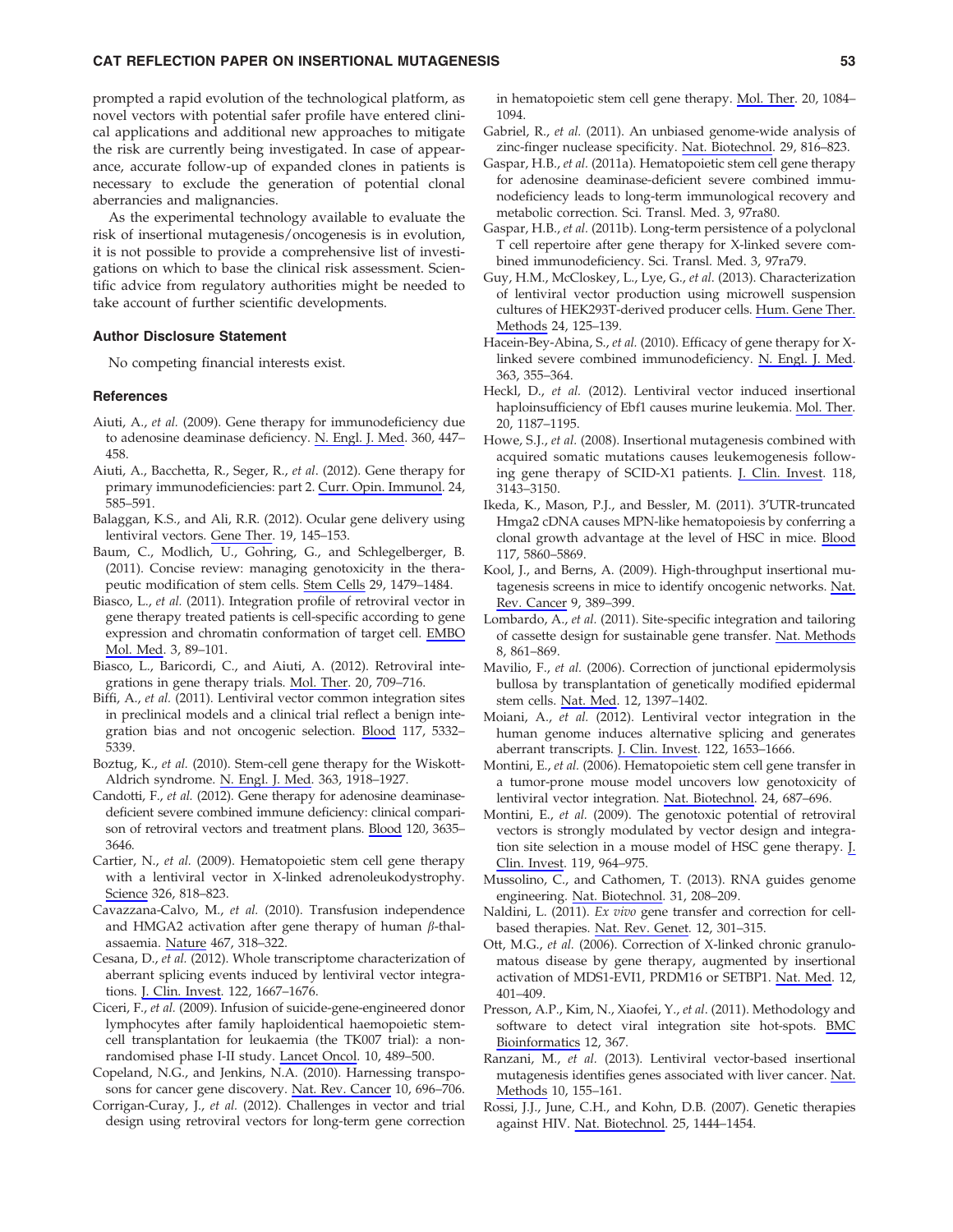prompted a rapid evolution of the technological platform, as novel vectors with potential safer profile have entered clinical applications and additional new approaches to mitigate the risk are currently being investigated. In case of appearance, accurate follow-up of expanded clones in patients is necessary to exclude the generation of potential clonal aberrancies and malignancies.

As the experimental technology available to evaluate the risk of insertional mutagenesis/oncogenesis is in evolution, it is not possible to provide a comprehensive list of investigations on which to base the clinical risk assessment. Scientific advice from regulatory authorities might be needed to take account of further scientific developments.

#### Author Disclosure Statement

No competing financial interests exist.

#### References

- Aiuti, A., et al. (2009). Gene therapy for immunodeficiency due to adenosine deaminase deficiency. N. Engl. J. Med. 360, 447– 458.
- Aiuti, A., Bacchetta, R., Seger, R., et al. (2012). Gene therapy for primary immunodeficiencies: part 2. Curr. Opin. Immunol. 24, 585–591.
- Balaggan, K.S., and Ali, R.R. (2012). Ocular gene delivery using lentiviral vectors. Gene Ther. 19, 145–153.
- Baum, C., Modlich, U., Gohring, G., and Schlegelberger, B. (2011). Concise review: managing genotoxicity in the therapeutic modification of stem cells. Stem Cells 29, 1479–1484.
- Biasco, L., et al. (2011). Integration profile of retroviral vector in gene therapy treated patients is cell-specific according to gene expression and chromatin conformation of target cell. EMBO Mol. Med. 3, 89–101.
- Biasco, L., Baricordi, C., and Aiuti, A. (2012). Retroviral integrations in gene therapy trials. Mol. Ther. 20, 709–716.
- Biffi, A., et al. (2011). Lentiviral vector common integration sites in preclinical models and a clinical trial reflect a benign integration bias and not oncogenic selection. Blood 117, 5332– 5339.
- Boztug, K., et al. (2010). Stem-cell gene therapy for the Wiskott-Aldrich syndrome. N. Engl. J. Med. 363, 1918–1927.
- Candotti, F., et al. (2012). Gene therapy for adenosine deaminasedeficient severe combined immune deficiency: clinical comparison of retroviral vectors and treatment plans. Blood 120, 3635– 3646.
- Cartier, N., et al. (2009). Hematopoietic stem cell gene therapy with a lentiviral vector in X-linked adrenoleukodystrophy. Science 326, 818–823.
- Cavazzana-Calvo, M., et al. (2010). Transfusion independence and HMGA2 activation after gene therapy of human  $\beta$ -thalassaemia. Nature 467, 318–322.
- Cesana, D., et al. (2012). Whole transcriptome characterization of aberrant splicing events induced by lentiviral vector integrations. J. Clin. Invest. 122, 1667–1676.
- Ciceri, F., et al. (2009). Infusion of suicide-gene-engineered donor lymphocytes after family haploidentical haemopoietic stemcell transplantation for leukaemia (the TK007 trial): a nonrandomised phase I-II study. Lancet Oncol. 10, 489–500.
- Copeland, N.G., and Jenkins, N.A. (2010). Harnessing transposons for cancer gene discovery. Nat. Rev. Cancer 10, 696–706.
- Corrigan-Curay, J., et al. (2012). Challenges in vector and trial design using retroviral vectors for long-term gene correction

in hematopoietic stem cell gene therapy. Mol. Ther. 20, 1084– 1094.

- Gabriel, R., et al. (2011). An unbiased genome-wide analysis of zinc-finger nuclease specificity. Nat. Biotechnol. 29, 816–823.
- Gaspar, H.B., et al. (2011a). Hematopoietic stem cell gene therapy for adenosine deaminase-deficient severe combined immunodeficiency leads to long-term immunological recovery and metabolic correction. Sci. Transl. Med. 3, 97ra80.
- Gaspar, H.B., et al. (2011b). Long-term persistence of a polyclonal T cell repertoire after gene therapy for X-linked severe combined immunodeficiency. Sci. Transl. Med. 3, 97ra79.
- Guy, H.M., McCloskey, L., Lye, G., et al. (2013). Characterization of lentiviral vector production using microwell suspension cultures of HEK293T-derived producer cells. Hum. Gene Ther. Methods 24, 125–139.
- Hacein-Bey-Abina, S., et al. (2010). Efficacy of gene therapy for Xlinked severe combined immunodeficiency. N. Engl. J. Med. 363, 355–364.
- Heckl, D., et al. (2012). Lentiviral vector induced insertional haploinsufficiency of Ebf1 causes murine leukemia. Mol. Ther. 20, 1187–1195.
- Howe, S.J., et al. (2008). Insertional mutagenesis combined with acquired somatic mutations causes leukemogenesis following gene therapy of SCID-X1 patients. J. Clin. Invest. 118, 3143–3150.
- Ikeda, K., Mason, P.J., and Bessler, M. (2011). 3¢UTR-truncated Hmga2 cDNA causes MPN-like hematopoiesis by conferring a clonal growth advantage at the level of HSC in mice. Blood 117, 5860–5869.
- Kool, J., and Berns, A. (2009). High-throughput insertional mutagenesis screens in mice to identify oncogenic networks. Nat. Rev. Cancer 9, 389–399.
- Lombardo, A., et al. (2011). Site-specific integration and tailoring of cassette design for sustainable gene transfer. Nat. Methods 8, 861–869.
- Mavilio, F., et al. (2006). Correction of junctional epidermolysis bullosa by transplantation of genetically modified epidermal stem cells. Nat. Med. 12, 1397–1402.
- Moiani, A., et al. (2012). Lentiviral vector integration in the human genome induces alternative splicing and generates aberrant transcripts. J. Clin. Invest. 122, 1653–1666.
- Montini, E., et al. (2006). Hematopoietic stem cell gene transfer in a tumor-prone mouse model uncovers low genotoxicity of lentiviral vector integration. Nat. Biotechnol. 24, 687–696.
- Montini, E., et al. (2009). The genotoxic potential of retroviral vectors is strongly modulated by vector design and integration site selection in a mouse model of HSC gene therapy. J. Clin. Invest. 119, 964–975.
- Mussolino, C., and Cathomen, T. (2013). RNA guides genome engineering. Nat. Biotechnol. 31, 208–209.
- Naldini, L. (2011). Ex vivo gene transfer and correction for cellbased therapies. Nat. Rev. Genet. 12, 301–315.
- Ott, M.G., et al. (2006). Correction of X-linked chronic granulomatous disease by gene therapy, augmented by insertional activation of MDS1-EVI1, PRDM16 or SETBP1. Nat. Med. 12, 401–409.
- Presson, A.P., Kim, N., Xiaofei, Y., et al. (2011). Methodology and software to detect viral integration site hot-spots. BMC Bioinformatics 12, 367.
- Ranzani, M., et al. (2013). Lentiviral vector-based insertional mutagenesis identifies genes associated with liver cancer. Nat. Methods 10, 155–161.
- Rossi, J.J., June, C.H., and Kohn, D.B. (2007). Genetic therapies against HIV. Nat. Biotechnol. 25, 1444–1454.